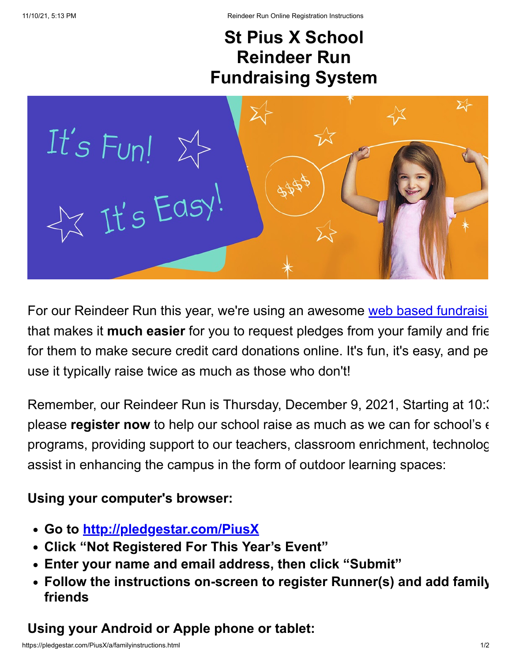## **St Pius X School Reindeer Run Fundraising System**



For our Reindeer Run this year, we're using an awesome [web based fundraisi](http://pledgestar.com/) that makes it **much easier** for you to request pledges from your family and frie for them to make secure credit card donations online. It's fun, it's easy, and pe use it typically raise twice as much as those who don't!

Remember, our Reindeer Run is Thursday, December 9, 2021, Starting at 10:3 please **register now** to help our school raise as much as we can for school's  $\epsilon$ programs, providing support to our teachers, classroom enrichment, technolog assist in enhancing the campus in the form of outdoor learning spaces:

## **Using your computer's browser:**

- **Go to [http://pledgestar.com/PiusX](https://pledgestar.com/PiusX)**
- **Click "Not Registered For This Year's Event"**
- **Enter your name and email address, then click "Submit"**
- **Follow the instructions on-screen to register Runner(s) and add family friends**

## **Using your Android or Apple phone or tablet:**